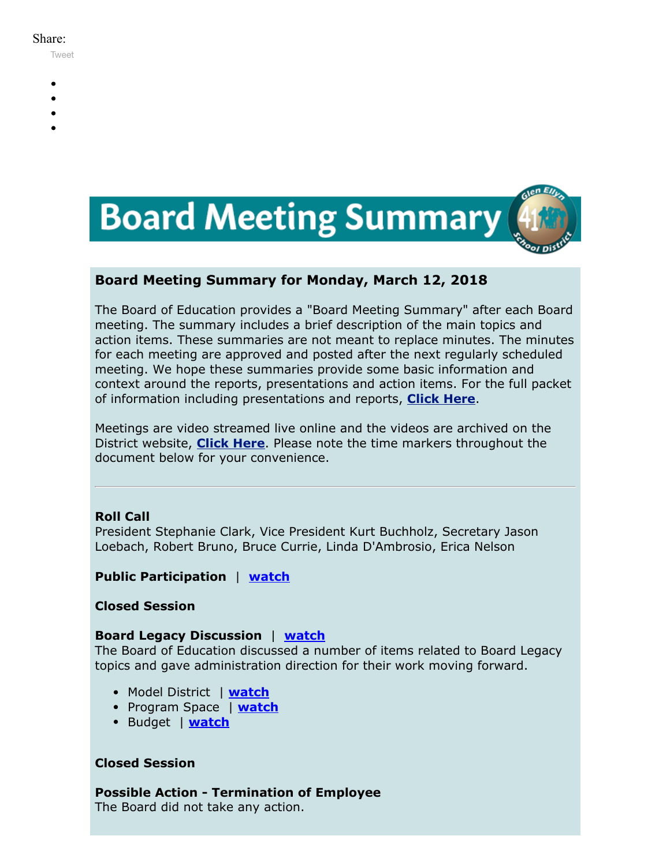#### Share:

[Tweet](https://twitter.com/intent/tweet?original_referer=https%3A%2F%2Fmyemail.constantcontact.com%2FBoard-Meeting-Summary-for-March-12--2018.html%3Fsoid%3D1102200973173%26aid%3DSWqT9uJi6Rc&ref_src=twsrc%5Etfw&text=Board%20Meeting%20Summary%20for%20March%2012%2C%202018&tw_p=tweetbutton&url=https%3A%2F%2Fmyemail.constantcontact.com%2FBoard-Meeting-Summary-for-March-12--2018.html%3Fsoid%3D1102200973173%26aid%3DSWqT9uJi6Rc)

- 
- 
- 
- 
- 



# **Board Meeting Summary for Monday, March 12, 2018**

The Board of Education provides a "Board Meeting Summary" after each Board meeting. The summary includes a brief description of the main topics and action items. These summaries are not meant to replace minutes. The minutes for each meeting are approved and posted after the next regularly scheduled meeting. We hope these summaries provide some basic information and context around the reports, presentations and action items. For the full packet of information including presentations and reports, **[Click Here](http://www.d41.org/domain/36)**.

Meetings are video streamed live online and the videos are archived on the District website, **[Click Here](http://www.d41.org/domain/463)**. Please note the time markers throughout the document below for your convenience.

## **Roll Call**

President Stephanie Clark, Vice President Kurt Buchholz, Secretary Jason Loebach, Robert Bruno, Bruce Currie, Linda D'Ambrosio, Erica Nelson

## **Public Participation** | **[watch](https://youtu.be/ljtaDiviAM8?t=1m43s)**

### **Closed Session**

### **Board Legacy Discussion** | **[watch](https://youtu.be/ljtaDiviAM8?t=39m02s)**

The Board of Education discussed a number of items related to Board Legacy topics and gave administration direction for their work moving forward.

- Model District | **[watch](https://youtu.be/ljtaDiviAM8?t=40m29s)**
- Program Space | **[watch](https://youtu.be/ljtaDiviAM8?t=1h06m04s)**
- **•** Budget | **[watch](https://youtu.be/ljtaDiviAM8?t=1h46m28s)**

## **Closed Session**

**Possible Action - Termination of Employee** The Board did not take any action.